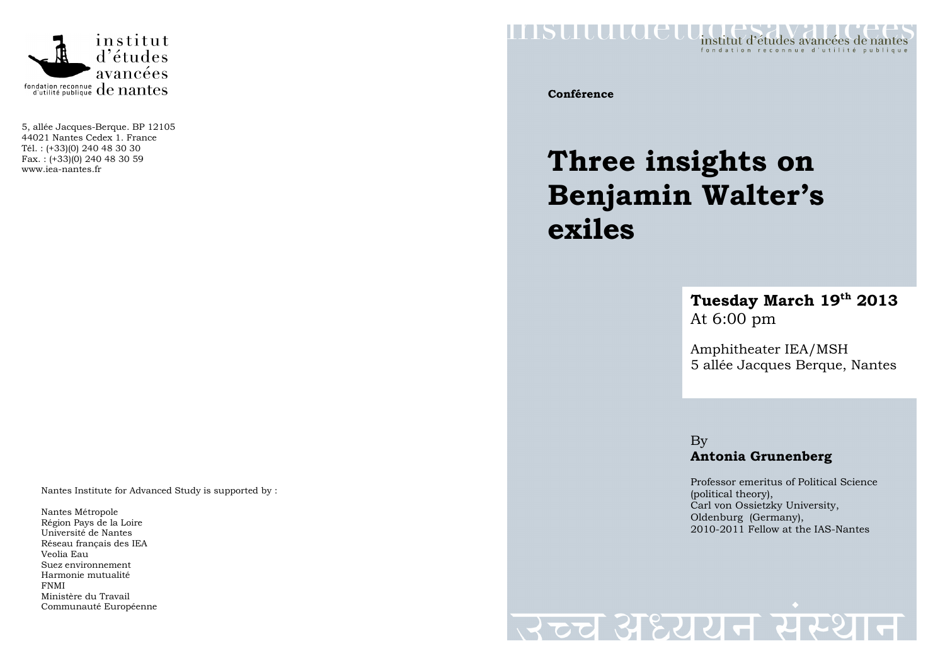

5, allée Jacques-Berque. BP 12105 44021 Nantes Cedex 1. France Tél. : (+33)(0) 240 48 30 30 Fax. : (+33)(0) 240 48 30 59 www.iea-nantes.fr

Nantes Institute for Advanced Study is supported by :

Nantes Métropole Région Pays de la Loire Université de Nantes Réseau français des IEA Veolia Eau Suez environnement Harmonie mutualité FNMI Ministère du Travail Communauté Européenne



**Conférence** 

## **Three insights on Benjamin Walter's exiles**

## **Tuesday March 19th 2013** At 6:00 pm

Amphitheater IEA/MSH 5 allée Jacques Berque, Nantes

By**Antonia Grunenberg** 

Professor emeritus of Political Science (political theory), Carl von Ossietzky University, Oldenburg (Germany), 2010-2011 Fellow at the IAS-Nantes

## स्टूच अध्ययन संस्थ